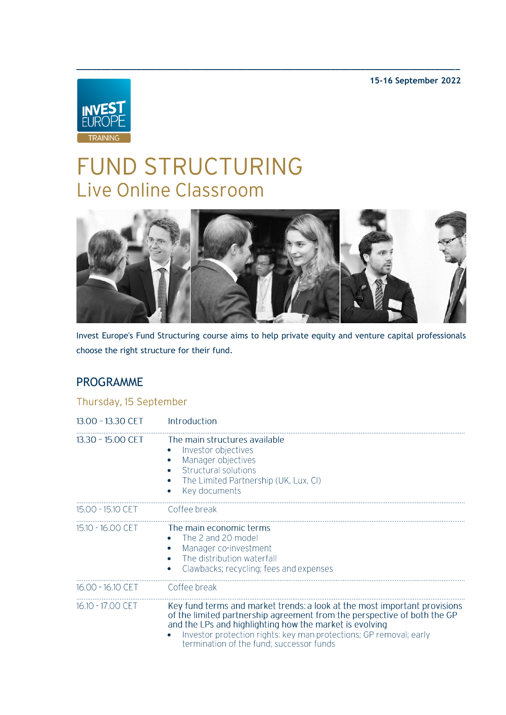**15-16 September 2022**



# FUND STRUCTURING Live Online Classroom



**\_\_\_\_\_\_\_\_\_\_\_\_\_\_\_\_\_\_\_\_\_\_\_\_\_\_\_\_\_\_\_\_\_\_\_\_\_\_\_\_\_\_\_\_\_\_\_\_\_\_\_\_\_\_\_\_\_\_\_\_\_\_\_\_\_\_\_\_\_\_\_\_\_\_\_\_\_**

Invest Europe's Fund Structuring course aims to help private equity and venture capital professionals choose the right structure for their fund.

# PROGRAMME

| 13.00 - 13.30 CET | Introduction                                                                                                                                                                                                                                                                                                                       |
|-------------------|------------------------------------------------------------------------------------------------------------------------------------------------------------------------------------------------------------------------------------------------------------------------------------------------------------------------------------|
| 13.30 - 15.00 CET | The main structures available<br>Investor objectives<br>Manager objectives<br>Structural solutions<br>The Limited Partnership (UK, Lux, CI)<br>Key documents                                                                                                                                                                       |
| 15.00 - 15.10 CET | Coffee break                                                                                                                                                                                                                                                                                                                       |
| 15.10 - 16.00 CET | The main economic terms<br>The 2 and 20 model<br>Manager co-investment<br>The distribution waterfall<br>Clawbacks; recycling; fees and expenses                                                                                                                                                                                    |
| 16.00 - 16.10 CET | Coffee break                                                                                                                                                                                                                                                                                                                       |
| 16.10 - 17.00 CET | Key fund terms and market trends: a look at the most important provisions<br>of the limited partnership agreement from the perspective of both the GP<br>and the LPs and highlighting how the market is evolving<br>Investor protection rights: key man protections; GP removal; early<br>termination of the fund; successor funds |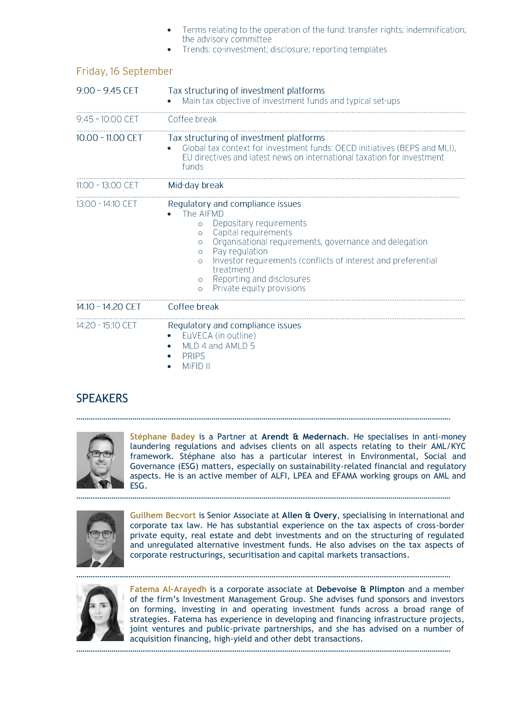| Terms relating to the operation of the fund: transfer rights; indemnification; |
|--------------------------------------------------------------------------------|
| the advisory committee                                                         |

• Trends: co-investment; disclosure; reporting templates

| $9:00 - 9.45$ CET  | Tax structuring of investment platforms<br>Main tax objective of investment funds and typical set-ups                                                                                                                                                                                                                                                                                                |
|--------------------|------------------------------------------------------------------------------------------------------------------------------------------------------------------------------------------------------------------------------------------------------------------------------------------------------------------------------------------------------------------------------------------------------|
| $9:45 - 10:00$ CET | Coffee break                                                                                                                                                                                                                                                                                                                                                                                         |
| 10.00 - 11.00 CET  | Tax structuring of investment platforms<br>Global tax context for investment funds: OECD initiatives (BEPS and MLI),<br>EU directives and latest news on international taxation for investment<br>funds                                                                                                                                                                                              |
| 11:00 - 13:00 CET  | Mid-day break                                                                                                                                                                                                                                                                                                                                                                                        |
| 13:00 - 14:10 CET  | Regulatory and compliance issues<br>The AIFMD<br>Depositary requirements<br>$\circ$<br>Capital requirements<br>$\circ$<br>Organisational requirements, governance and delegation<br>$\circ$<br>Pay regulation<br>$\Omega$<br>Investor requirements (conflicts of interest and preferential<br>$\Omega$<br>treatment)<br>Reporting and disclosures<br>$\circ$<br>Private equity provisions<br>$\circ$ |
| 14.10 - 14.20 CET  | Coffee break                                                                                                                                                                                                                                                                                                                                                                                         |
| 14:20 - 15:10 CET  | Regulatory and compliance issues<br>EuVECA (in outline)<br>MLD 4 and AMLD 5<br><b>PRIPS</b><br>MiFID II                                                                                                                                                                                                                                                                                              |

#### Friday, 16 September

### **SPEAKERS**



**Stéphane Badey** is a Partner at **Arendt & Medernach**. He specialises in anti-money laundering regulations and advises clients on all aspects relating to their AML/KYC framework. Stéphane also has a particular interest in Environmental, Social and Governance (ESG) matters, especially on sustainability-related financial and regulatory aspects. He is an active member of ALFI, LPEA and EFAMA working groups on AML and ESG.

. The contract of the contract of the contract of the contract of the contract of the contract of the contract of the contract of the contract of the contract of the contract of the contract of the contract of the contrac

………………………………………………………………………………………………………………………………………………………………



**Guilhem Becvort** is Senior Associate at **Allen & Overy**, specialising in international and corporate tax law. He has substantial experience on the tax aspects of cross-border private equity, real estate and debt investments and on the structuring of regulated and unregulated alternative investment funds. He also advises on the tax aspects of corporate restructurings, securitisation and capital markets transactions.



**Fatema Al-Arayedh** is a corporate associate at **Debevoise & Plimpton** and a member of the firm's Investment Management Group. She advises fund sponsors and investors on forming, investing in and operating investment funds across a broad range of strategies. Fatema has experience in developing and financing infrastructure projects, joint ventures and public-private partnerships, and she has advised on a number of acquisition financing, high-yield and other debt transactions.

………………………………………………………………………………………………………………………………………………………………